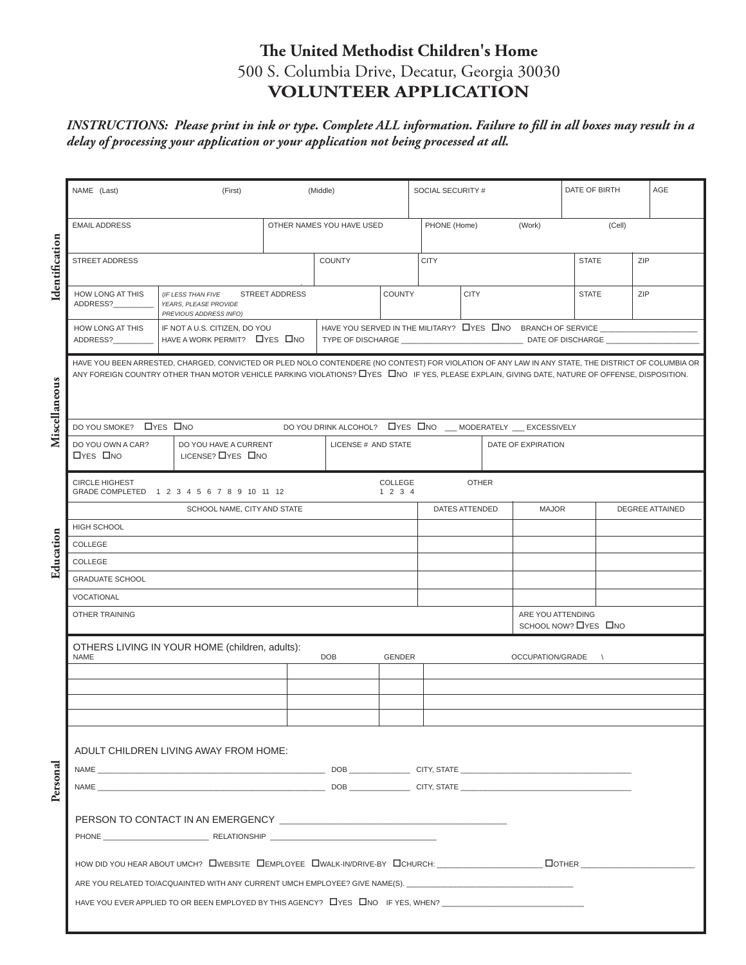## **The United Methodist Children's Home** 500 S. Columbia Drive, Decatur, Georgia 30030 **VOLUNTEER APPLICATION**

#### *INSTRUCTIONS: Please print in ink or type. Complete ALL information. Failure to fill in all boxes may result in a delay of processing your application or your application not being processed at all.*

|                | NAME (Last)                          | (First)                                                                                                                                                                                                                                                                                               |                       | (Middle)                                                     |                 | SOCIAL SECURITY # |                |        |                                            | DATE OF BIRTH |            | AGE |
|----------------|--------------------------------------|-------------------------------------------------------------------------------------------------------------------------------------------------------------------------------------------------------------------------------------------------------------------------------------------------------|-----------------------|--------------------------------------------------------------|-----------------|-------------------|----------------|--------|--------------------------------------------|---------------|------------|-----|
|                | <b>EMAIL ADDRESS</b>                 |                                                                                                                                                                                                                                                                                                       |                       | OTHER NAMES YOU HAVE USED                                    |                 | PHONE (Home)      |                | (Work) |                                            | (Cell)        |            |     |
| Identification | <b>STREET ADDRESS</b>                |                                                                                                                                                                                                                                                                                                       |                       | <b>COUNTY</b>                                                |                 | <b>CITY</b>       |                |        |                                            | <b>STATE</b>  |            | ZIP |
|                | HOW LONG AT THIS<br>ADDRESS?         | (IF LESS THAN FIVE<br>YEARS, PLEASE PROVIDE<br>PREVIOUS ADDRESS INFO)                                                                                                                                                                                                                                 | <b>STREET ADDRESS</b> |                                                              | <b>COUNTY</b>   |                   | <b>CITY</b>    |        |                                            | <b>STATE</b>  |            | ZIP |
|                | HOW LONG AT THIS<br>ADDRESS?         | IF NOT A U.S. CITIZEN, DO YOU<br>HAVE A WORK PERMIT? LYES LINO                                                                                                                                                                                                                                        |                       | HAVE YOU SERVED IN THE MILITARY? LYES LINO BRANCH OF SERVICE |                 |                   |                |        |                                            |               |            |     |
| Miscellaneous  |                                      | HAVE YOU BEEN ARRESTED, CHARGED, CONVICTED OR PLED NOLO CONTENDERE (NO CONTEST) FOR VIOLATION OF ANY LAW IN ANY STATE, THE DISTRICT OF COLUMBIA OR<br>ANY FOREIGN COUNTRY OTHER THAN MOTOR VEHICLE PARKING VIOLATIONS? LYES LONO IF YES, PLEASE EXPLAIN, GIVING DATE, NATURE OF OFFENSE, DISPOSITION. |                       |                                                              |                 |                   |                |        |                                            |               |            |     |
|                | DO YOU SMOKE? LYES LINO              |                                                                                                                                                                                                                                                                                                       |                       | DO YOU DRINK ALCOHOL? LYES LINO __ MODERATELY __ EXCESSIVELY |                 |                   |                |        |                                            |               |            |     |
|                | DO YOU OWN A CAR?<br><b>OYES ONO</b> | DO YOU HAVE A CURRENT<br>LICENSE? LYES LINO                                                                                                                                                                                                                                                           |                       | LICENSE # AND STATE                                          |                 |                   |                |        | DATE OF EXPIRATION                         |               |            |     |
|                | <b>CIRCLE HIGHEST</b>                | GRADE COMPLETED 1 2 3 4 5 6 7 8 9 10 11 12                                                                                                                                                                                                                                                            |                       |                                                              | COLLEGE<br>1234 |                   | <b>OTHER</b>   |        |                                            |               |            |     |
|                | <b>HIGH SCHOOL</b>                   | SCHOOL NAME, CITY AND STATE                                                                                                                                                                                                                                                                           |                       |                                                              |                 |                   | DATES ATTENDED |        | <b>MAJOR</b><br><b>DEGREE ATTAINED</b>     |               |            |     |
|                | COLLEGE                              |                                                                                                                                                                                                                                                                                                       |                       |                                                              |                 |                   |                |        |                                            |               |            |     |
| Education      | COLLEGE                              |                                                                                                                                                                                                                                                                                                       |                       |                                                              |                 |                   |                |        |                                            |               |            |     |
|                | <b>GRADUATE SCHOOL</b>               |                                                                                                                                                                                                                                                                                                       |                       |                                                              |                 |                   |                |        |                                            |               |            |     |
|                | VOCATIONAL                           |                                                                                                                                                                                                                                                                                                       |                       |                                                              |                 |                   |                |        |                                            |               |            |     |
|                | <b>OTHER TRAINING</b>                |                                                                                                                                                                                                                                                                                                       |                       |                                                              |                 |                   |                |        | ARE YOU ATTENDING<br>SCHOOL NOW? LYES LINO |               |            |     |
|                | <b>NAME</b>                          | OTHERS LIVING IN YOUR HOME (children, adults):                                                                                                                                                                                                                                                        |                       | <b>DOB</b>                                                   | <b>GENDER</b>   |                   |                |        | OCCUPATION/GRADE                           |               | $\sqrt{ }$ |     |
|                |                                      |                                                                                                                                                                                                                                                                                                       |                       |                                                              |                 |                   |                |        |                                            |               |            |     |
|                |                                      |                                                                                                                                                                                                                                                                                                       |                       |                                                              |                 |                   |                |        |                                            |               |            |     |
|                |                                      |                                                                                                                                                                                                                                                                                                       |                       |                                                              |                 |                   |                |        |                                            |               |            |     |
|                |                                      | ADULT CHILDREN LIVING AWAY FROM HOME:                                                                                                                                                                                                                                                                 |                       |                                                              |                 |                   |                |        |                                            |               |            |     |
|                |                                      |                                                                                                                                                                                                                                                                                                       |                       |                                                              |                 |                   |                |        |                                            |               |            |     |
| Personal       |                                      |                                                                                                                                                                                                                                                                                                       |                       |                                                              |                 |                   |                |        |                                            |               |            |     |
|                |                                      | PERSON TO CONTACT IN AN EMERGENCY THE STATE STATE STATES IN THE STATE OF STATES OF STATES IN A STATE OF STATES                                                                                                                                                                                        |                       |                                                              |                 |                   |                |        |                                            |               |            |     |
|                |                                      |                                                                                                                                                                                                                                                                                                       |                       |                                                              |                 |                   |                |        |                                            |               |            |     |
|                |                                      | HOW DID YOU HEAR ABOUT UMCH? OWEBSITE CHEMPLOYEE CHWALK-IN/DRIVE-BY CHEHURCH: THE MAN DOTHER                                                                                                                                                                                                          |                       |                                                              |                 |                   |                |        |                                            |               |            |     |
|                |                                      | ARE YOU RELATED TO/ACQUAINTED WITH ANY CURRENT UMCH EMPLOYEE? GIVE NAME(S). __________________________________                                                                                                                                                                                        |                       |                                                              |                 |                   |                |        |                                            |               |            |     |
|                |                                      | HAVE YOU EVER APPLIED TO OR BEEN EMPLOYED BY THIS AGENCY? LYES LINO IF YES, WHEN?                                                                                                                                                                                                                     |                       |                                                              |                 |                   |                |        |                                            |               |            |     |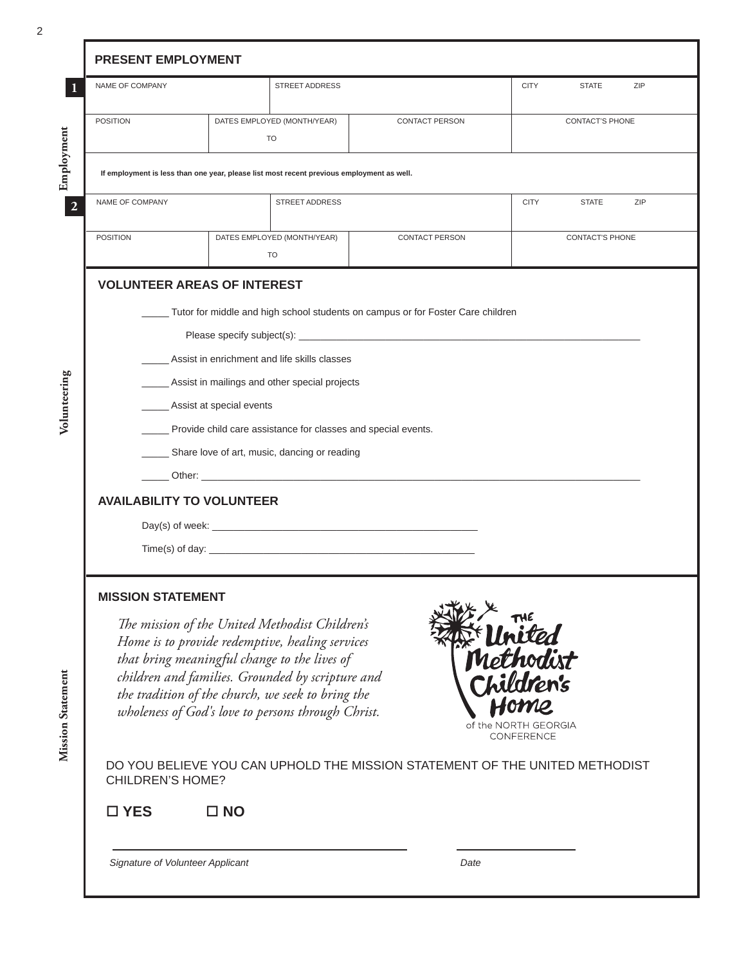| NAME OF COMPANY                                                                                                                                                                                                                      |              | <b>STREET ADDRESS</b>                                                                     |                                                                                 | <b>CITY</b>                        | <b>STATE</b>    | ZIP |  |  |
|--------------------------------------------------------------------------------------------------------------------------------------------------------------------------------------------------------------------------------------|--------------|-------------------------------------------------------------------------------------------|---------------------------------------------------------------------------------|------------------------------------|-----------------|-----|--|--|
| <b>POSITION</b>                                                                                                                                                                                                                      |              | DATES EMPLOYED (MONTH/YEAR)<br>TO                                                         | <b>CONTACT PERSON</b>                                                           |                                    | CONTACT'S PHONE |     |  |  |
|                                                                                                                                                                                                                                      |              | If employment is less than one year, please list most recent previous employment as well. |                                                                                 |                                    |                 |     |  |  |
| NAME OF COMPANY                                                                                                                                                                                                                      |              | <b>STREET ADDRESS</b>                                                                     |                                                                                 | <b>CITY</b>                        | <b>STATE</b>    | ZIP |  |  |
| <b>POSITION</b>                                                                                                                                                                                                                      |              | DATES EMPLOYED (MONTH/YEAR)<br>TO                                                         | <b>CONTACT PERSON</b>                                                           |                                    | CONTACT'S PHONE |     |  |  |
| <b>VOLUNTEER AREAS OF INTEREST</b>                                                                                                                                                                                                   |              |                                                                                           | Tutor for middle and high school students on campus or for Foster Care children |                                    |                 |     |  |  |
|                                                                                                                                                                                                                                      |              | Assist in enrichment and life skills classes                                              |                                                                                 |                                    |                 |     |  |  |
| _ Assist in mailings and other special projects                                                                                                                                                                                      |              |                                                                                           |                                                                                 |                                    |                 |     |  |  |
| ____ Assist at special events                                                                                                                                                                                                        |              |                                                                                           |                                                                                 |                                    |                 |     |  |  |
| ____ Provide child care assistance for classes and special events.                                                                                                                                                                   |              |                                                                                           |                                                                                 |                                    |                 |     |  |  |
| _ Share love of art, music, dancing or reading                                                                                                                                                                                       |              |                                                                                           |                                                                                 |                                    |                 |     |  |  |
| <u>Denote Charles Communications and the Charles Communications and the Charles Communications and the Charles Communications and the Charles Communications and the Charles Communications and the Charles Communications and t</u> |              |                                                                                           |                                                                                 |                                    |                 |     |  |  |
| <b>AVAILABILITY TO VOLUNTEER</b>                                                                                                                                                                                                     |              |                                                                                           |                                                                                 |                                    |                 |     |  |  |
|                                                                                                                                                                                                                                      |              |                                                                                           |                                                                                 |                                    |                 |     |  |  |
|                                                                                                                                                                                                                                      |              |                                                                                           |                                                                                 |                                    |                 |     |  |  |
| <b>MISSION STATEMENT</b>                                                                                                                                                                                                             |              |                                                                                           |                                                                                 |                                    |                 |     |  |  |
| <b>EXE THE</b><br>Methodist<br>Children's<br>The mission of the United Methodist Children's<br>Home is to provide redemptive, healing services                                                                                       |              |                                                                                           |                                                                                 |                                    |                 |     |  |  |
| that bring meaningful change to the lives of                                                                                                                                                                                         |              |                                                                                           |                                                                                 |                                    |                 |     |  |  |
| children and families. Grounded by scripture and<br>the tradition of the church, we seek to bring the                                                                                                                                |              |                                                                                           |                                                                                 |                                    |                 |     |  |  |
| wholeness of God's love to persons through Christ.                                                                                                                                                                                   |              |                                                                                           |                                                                                 |                                    |                 |     |  |  |
|                                                                                                                                                                                                                                      |              |                                                                                           |                                                                                 | of the NORTH GEORGIA<br>CONFERENCE |                 |     |  |  |
| DO YOU BELIEVE YOU CAN UPHOLD THE MISSION STATEMENT OF THE UNITED METHODIST<br><b>CHILDREN'S HOME?</b>                                                                                                                               |              |                                                                                           |                                                                                 |                                    |                 |     |  |  |
|                                                                                                                                                                                                                                      |              |                                                                                           |                                                                                 |                                    |                 |     |  |  |
| $\square$ YES                                                                                                                                                                                                                        | $\square$ NO |                                                                                           |                                                                                 |                                    |                 |     |  |  |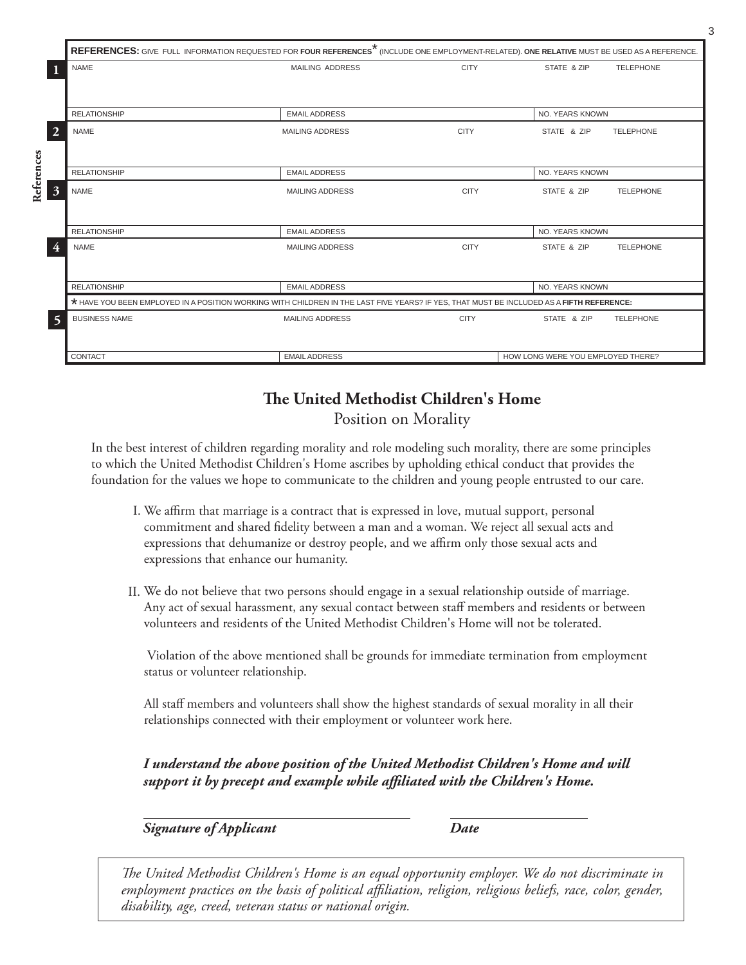|                            | REFERENCES: GIVE FULL INFORMATION REQUESTED FOR FOUR REFERENCES <sup>*</sup> (INCLUDE ONE EMPLOYMENT-RELATED). ONE RELATIVE MUST BE USED AS A REFERENCE. |                        |             |                                   |                  |  |  |  |  |
|----------------------------|----------------------------------------------------------------------------------------------------------------------------------------------------------|------------------------|-------------|-----------------------------------|------------------|--|--|--|--|
|                            | <b>NAME</b>                                                                                                                                              | <b>MAILING ADDRESS</b> | <b>CITY</b> | STATE & ZIP                       | <b>TELEPHONE</b> |  |  |  |  |
|                            |                                                                                                                                                          |                        |             |                                   |                  |  |  |  |  |
|                            | <b>RELATIONSHIP</b>                                                                                                                                      | <b>EMAIL ADDRESS</b>   |             | NO. YEARS KNOWN                   |                  |  |  |  |  |
| $\overline{2}$             | <b>NAME</b>                                                                                                                                              | <b>MAILING ADDRESS</b> | <b>CITY</b> | STATE & ZIP                       | <b>TELEPHONE</b> |  |  |  |  |
|                            |                                                                                                                                                          |                        |             |                                   |                  |  |  |  |  |
|                            | <b>RELATIONSHIP</b>                                                                                                                                      | <b>EMAIL ADDRESS</b>   |             | NO. YEARS KNOWN                   |                  |  |  |  |  |
| References<br>$\mathbf{3}$ | <b>NAME</b>                                                                                                                                              | <b>MAILING ADDRESS</b> | <b>CITY</b> | STATE & ZIP                       | <b>TELEPHONE</b> |  |  |  |  |
|                            |                                                                                                                                                          |                        |             |                                   |                  |  |  |  |  |
|                            | <b>RELATIONSHIP</b>                                                                                                                                      | <b>EMAIL ADDRESS</b>   |             | <b>NO. YEARS KNOWN</b>            |                  |  |  |  |  |
|                            | <b>NAME</b>                                                                                                                                              | <b>MAILING ADDRESS</b> | <b>CITY</b> | STATE & ZIP                       | <b>TELEPHONE</b> |  |  |  |  |
|                            |                                                                                                                                                          |                        |             |                                   |                  |  |  |  |  |
|                            | <b>RELATIONSHIP</b>                                                                                                                                      | <b>EMAIL ADDRESS</b>   |             | NO. YEARS KNOWN                   |                  |  |  |  |  |
|                            | * HAVE YOU BEEN EMPLOYED IN A POSITION WORKING WITH CHILDREN IN THE LAST FIVE YEARS? IF YES, THAT MUST BE INCLUDED AS A FIFTH REFERENCE:                 |                        |             |                                   |                  |  |  |  |  |
| $\overline{\mathbf{5}}$    | <b>BUSINESS NAME</b>                                                                                                                                     | <b>MAILING ADDRESS</b> | <b>CITY</b> | STATE & ZIP                       | <b>TELEPHONE</b> |  |  |  |  |
|                            |                                                                                                                                                          |                        |             |                                   |                  |  |  |  |  |
|                            | CONTACT                                                                                                                                                  | <b>EMAIL ADDRESS</b>   |             | HOW LONG WERE YOU EMPLOYED THERE? |                  |  |  |  |  |

# **The United Methodist Children's Home**

Position on Morality

In the best interest of children regarding morality and role modeling such morality, there are some principles to which the United Methodist Children's Home ascribes by upholding ethical conduct that provides the foundation for the values we hope to communicate to the children and young people entrusted to our care.

- We affirm that marriage is a contract that is expressed in love, mutual support, personal I. commitment and shared fidelity between a man and a woman. We reject all sexual acts and expressions that dehumanize or destroy people, and we affirm only those sexual acts and expressions that enhance our humanity.
- We do not believe that two persons should engage in a sexual relationship outside of marriage. II. Any act of sexual harassment, any sexual contact between staff members and residents or between volunteers and residents of the United Methodist Children's Home will not be tolerated.

 Violation of the above mentioned shall be grounds for immediate termination from employment status or volunteer relationship.

All staff members and volunteers shall show the highest standards of sexual morality in all their relationships connected with their employment or volunteer work here.

*I understand the above position of the United Methodist Children's Home and will support it by precept and example while affiliated with the Children's Home.*

*Signature of Applicant Date*

*The United Methodist Children's Home is an equal opportunity employer. We do not discriminate in employment practices on the basis of political affiliation, religion, religious beliefs, race, color, gender, disability, age, creed, veteran status or national origin.*

3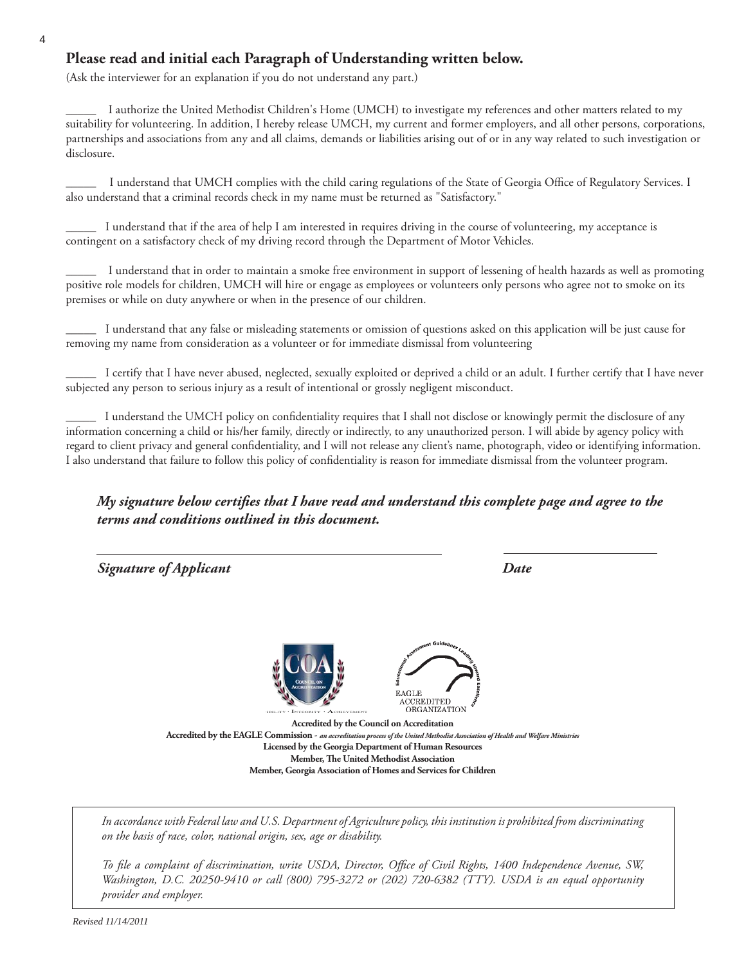#### **Please read and initial each Paragraph of Understanding written below.**

(Ask the interviewer for an explanation if you do not understand any part.)

\_\_\_\_\_ I authorize the United Methodist Children's Home (UMCH) to investigate my references and other matters related to my suitability for volunteering. In addition, I hereby release UMCH, my current and former employers, and all other persons, corporations, partnerships and associations from any and all claims, demands or liabilities arising out of or in any way related to such investigation or disclosure.

\_\_\_\_\_ I understand that UMCH complies with the child caring regulations of the State of Georgia Office of Regulatory Services. I also understand that a criminal records check in my name must be returned as "Satisfactory."

\_\_\_\_\_ I understand that if the area of help I am interested in requires driving in the course of volunteering, my acceptance is contingent on a satisfactory check of my driving record through the Department of Motor Vehicles.

I understand that in order to maintain a smoke free environment in support of lessening of health hazards as well as promoting positive role models for children, UMCH will hire or engage as employees or volunteers only persons who agree not to smoke on its premises or while on duty anywhere or when in the presence of our children.

\_\_\_\_\_ I understand that any false or misleading statements or omission of questions asked on this application will be just cause for removing my name from consideration as a volunteer or for immediate dismissal from volunteering

\_\_\_\_\_ I certify that I have never abused, neglected, sexually exploited or deprived a child or an adult. I further certify that I have never subjected any person to serious injury as a result of intentional or grossly negligent misconduct.

I understand the UMCH policy on confidentiality requires that I shall not disclose or knowingly permit the disclosure of any information concerning a child or his/her family, directly or indirectly, to any unauthorized person. I will abide by agency policy with regard to client privacy and general confidentiality, and I will not release any client's name, photograph, video or identifying information. I also understand that failure to follow this policy of confidentiality is reason for immediate dismissal from the volunteer program.

#### *My signature below certifies that I have read and understand this complete page and agree to the terms and conditions outlined in this document.*

 *Signature of Applicant Date* REDITED ORGANIZATION **Accredited by the Council on Accreditation Accredited by the EAGLE Commission** - *an accreditation process of the United Methodist Association of Health and Welfare Ministries* **Licensed by the Georgia Department of Human Resources Member, The United Methodist Association Member, Georgia Association of Homes and Services for Children**

*In accordance with Federal law and U.S. Department of Agriculture policy, this institution is prohibited from discriminating on the basis of race, color, national origin, sex, age or disability.*

*To file a complaint of discrimination, write USDA, Director, Office of Civil Rights, 1400 Independence Avenue, SW, Washington, D.C. 20250-9410 or call (800) 795-3272 or (202) 720-6382 (TTY). USDA is an equal opportunity provider and employer.*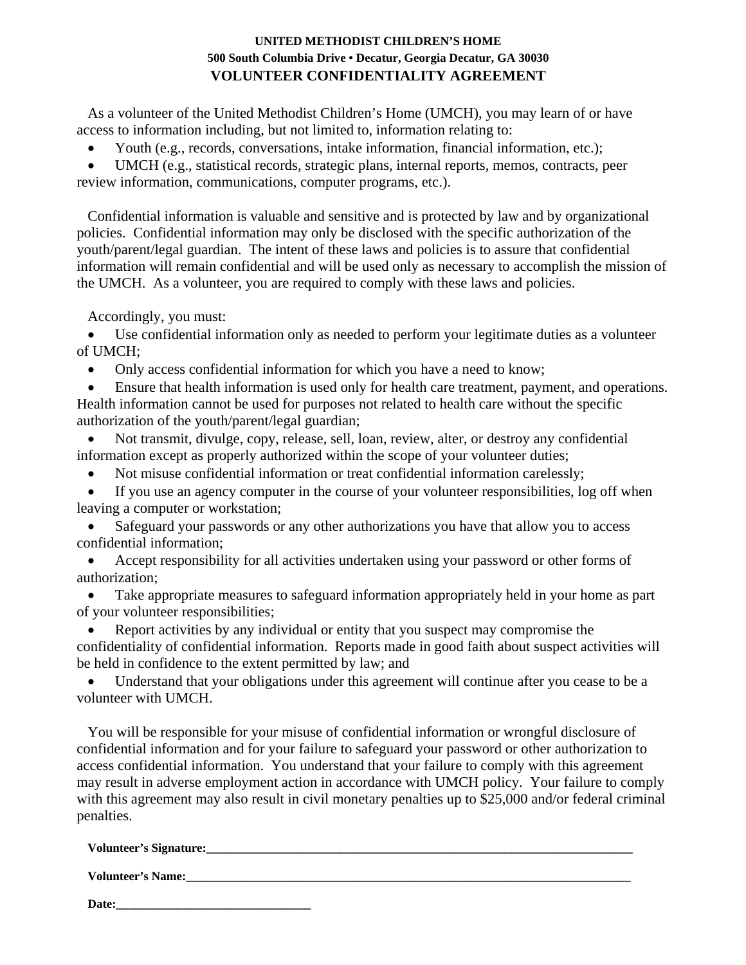#### **UNITED METHODIST CHILDREN'S HOME 500 South Columbia Drive • Decatur, Georgia Decatur, GA 30030 VOLUNTEER CONFIDENTIALITY AGREEMENT**

As a volunteer of the United Methodist Children's Home (UMCH), you may learn of or have access to information including, but not limited to, information relating to:

• Youth (e.g., records, conversations, intake information, financial information, etc.);

• UMCH (e.g., statistical records, strategic plans, internal reports, memos, contracts, peer review information, communications, computer programs, etc.).

Confidential information is valuable and sensitive and is protected by law and by organizational policies. Confidential information may only be disclosed with the specific authorization of the youth/parent/legal guardian. The intent of these laws and policies is to assure that confidential information will remain confidential and will be used only as necessary to accomplish the mission of the UMCH. As a volunteer, you are required to comply with these laws and policies.

Accordingly, you must:

Use confidential information only as needed to perform your legitimate duties as a volunteer of UMCH;

• Only access confidential information for which you have a need to know;

• Ensure that health information is used only for health care treatment, payment, and operations. Health information cannot be used for purposes not related to health care without the specific authorization of the youth/parent/legal guardian;

• Not transmit, divulge, copy, release, sell, loan, review, alter, or destroy any confidential information except as properly authorized within the scope of your volunteer duties;

• Not misuse confidential information or treat confidential information carelessly;

If you use an agency computer in the course of your volunteer responsibilities, log off when leaving a computer or workstation;

Safeguard your passwords or any other authorizations you have that allow you to access confidential information;

• Accept responsibility for all activities undertaken using your password or other forms of authorization;

Take appropriate measures to safeguard information appropriately held in your home as part of your volunteer responsibilities;

• Report activities by any individual or entity that you suspect may compromise the confidentiality of confidential information. Reports made in good faith about suspect activities will be held in confidence to the extent permitted by law; and

• Understand that your obligations under this agreement will continue after you cease to be a volunteer with UMCH.

You will be responsible for your misuse of confidential information or wrongful disclosure of confidential information and for your failure to safeguard your password or other authorization to access confidential information. You understand that your failure to comply with this agreement may result in adverse employment action in accordance with UMCH policy. Your failure to comply with this agreement may also result in civil monetary penalties up to \$25,000 and/or federal criminal penalties.

**Volunteer's Signature:\_\_\_\_\_\_\_\_\_\_\_\_\_\_\_\_\_\_\_\_\_\_\_\_\_\_\_\_\_\_\_\_\_\_\_\_\_\_\_\_\_\_\_\_\_\_\_\_\_\_\_\_\_\_\_\_\_\_\_\_\_\_\_\_\_\_\_\_\_\_** 

**Volunteer's Name:\_\_\_\_\_\_\_\_\_\_\_\_\_\_\_\_\_\_\_\_\_\_\_\_\_\_\_\_\_\_\_\_\_\_\_\_\_\_\_\_\_\_\_\_\_\_\_\_\_\_\_\_\_\_\_\_\_\_\_\_\_\_\_\_\_\_\_\_\_\_\_\_\_** 

Date: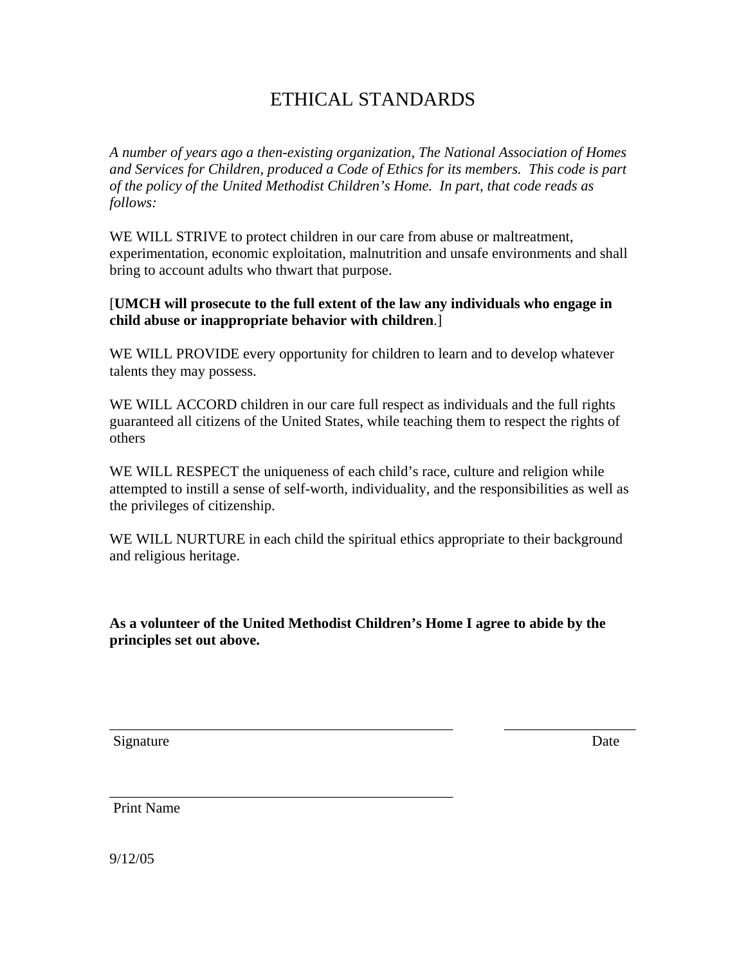# ETHICAL STANDARDS

*A number of years ago a then-existing organization, The National Association of Homes and Services for Children, produced a Code of Ethics for its members. This code is part of the policy of the United Methodist Children's Home. In part, that code reads as follows:* 

WE WILL STRIVE to protect children in our care from abuse or maltreatment, experimentation, economic exploitation, malnutrition and unsafe environments and shall bring to account adults who thwart that purpose.

#### [**UMCH will prosecute to the full extent of the law any individuals who engage in child abuse or inappropriate behavior with children**.]

WE WILL PROVIDE every opportunity for children to learn and to develop whatever talents they may possess.

WE WILL ACCORD children in our care full respect as individuals and the full rights guaranteed all citizens of the United States, while teaching them to respect the rights of others

WE WILL RESPECT the uniqueness of each child's race, culture and religion while attempted to instill a sense of self-worth, individuality, and the responsibilities as well as the privileges of citizenship.

WE WILL NURTURE in each child the spiritual ethics appropriate to their background and religious heritage.

**As a volunteer of the United Methodist Children's Home I agree to abide by the principles set out above.** 

\_\_\_\_\_\_\_\_\_\_\_\_\_\_\_\_\_\_\_\_\_\_\_\_\_\_\_\_\_\_\_\_\_\_\_\_\_\_\_\_\_\_\_\_\_\_\_ \_\_\_\_\_\_\_\_\_\_\_\_\_\_\_\_\_\_

\_\_\_\_\_\_\_\_\_\_\_\_\_\_\_\_\_\_\_\_\_\_\_\_\_\_\_\_\_\_\_\_\_\_\_\_\_\_\_\_\_\_\_\_\_\_\_

Signature Date

Print Name

9/12/05